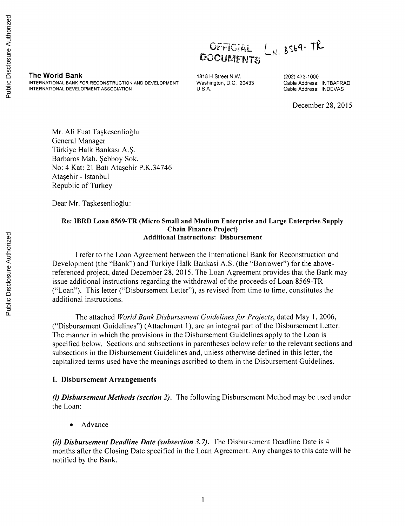# Public Disclosure Authorized Public Disclosure Authorized

 $L_{N.}8569 - T_{K}^{2}$ OFFICIAL **DOCUMENTS** 

**The World Bank 1818 H Street N.W.** (202) 473-1000<br>INTERNATIONAL BANK FOR RECONSTRUCTION AND DEVELOPMENT Washington, D.C. 20433 Cable Address: INTBAFRAD **INTERNATIONAL BANK FOR RECONSTRUCTION AND DEVELOPMENT Washington, D.C. A.**<br>INTERNATIONAL DEVELOPMENT ASSOCIATION **D.C. INTERNATION INTERNATIONAL DEVELOPMENT ASSOCIATION U.S.A. Cable Address: INDEVAS**

December **28, 2015**

Mr. Ali Fuat Taskesenlioglu General Manager Türkiye Halk Bankası A.Ş. Barbaros Mah. Şebboy Sok. No: 4 Kat: 21 Batı Ataşehir P.K.34746 Atasehir - Istanbul Republic of Turkey

Dear Mr. Taşkesenlioğlu:

#### **Re: IBRD Loan 8569-TR (Micro Small and Medium Enterprise and Large Enterprise Supply Chain Finance Project) Additional Instructions: Disbursement**

**I refer to the Loan** Agreement between the International Bank for Reconstruction and Development (the "Bank") and Turkiye Halk Bankasi **A.S.** (the "Borrower") for the abovereferenced project, dated December **28, 2015.** The Loan Agreement provides that the Bank may issue additional instructions regarding the withdrawal of the proceeds of Loan 8569-TR ("Loan"). This letter ("Disbursement Letter"), as revised from time to time, constitutes the additional instructions.

The attached *World Bank Disbursement Guidelines for Projects,* dated May **1, 2006,** ("Disbursement Guidelines") (Attachment **1),** are an integral part of the Disbursement Letter. The manner in which the provisions in the Disbursement Guidelines apply to the Loan is specified below. Sections and subsections in parentheses below refer to the relevant sections and subsections in the Disbursement Guidelines and, unless otherwise defined in this letter, the capitalized terms used have the meanings ascribed to them in the Disbursement Guidelines.

#### **I. Disbursement Arrangements**

*(i) Disbursement Methods (section 2).* The following Disbursement Method may be used under the Loan:

• Advance

*(ii) Disbursement Deadline Date (subsection 3.7).* The Disbursement Deadline Date is 4 months after the Closing Date specified in the Loan Agreement. Any changes to this date will be notified **by** the Bank.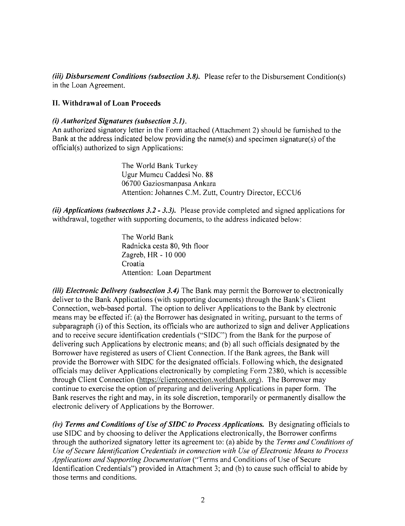*(iii) Disbursement Conditions (subsection 3.8).* Please refer to the Disbursement Condition(s) in the Loan Agreement.

#### **II. Withdrawal of Loan Proceeds**

#### (i) *Authorized Signatures (subsection 3.1).*

An authorized signatory letter in the Form attached (Attachment 2) should be furnished to the Bank at the address indicated below providing the name(s) and specimen signature(s) of the official(s) authorized to sign Applications:

> The World Bank Turkey Ugur Mumcu Caddesi No. **88 06700** Gaziosmanpasa Ankara Attention: Johannes **C.M.** Zutt, Country Director, **ECCU6**

*(ii) Applications (subsections 3.2* **-** *3.3).* Please provide completed and signed applications for withdrawal, together with supporting documents, to the address indicated below:

> The World Bank Radnicka cesta **80,** 9th floor Zagreb, HR **- 10 000** Croatia Attention: Loan Department

*(iii) Electronic Delivery (subsection 3.4)* The Bank may permit the Borrower to electronically deliver to the Bank Applications (with supporting documents) through the Bank's Client Connection, web-based portal. The option to deliver Applications to the Bank **by** electronic means may be effected if: (a) the Borrower has designated in writing, pursuant to the terms of subparagraph (i) of this Section, its officials who are authorized to sign and deliver Applications and to receive secure identification credentials **("SIDC")** from the Bank for the purpose of delivering such Applications **by** electronic means; and **(b)** all such officials designated **by** the Borrower have registered as users of Client Connection. **If** the Bank agrees, the Bank will provide the Borrower with **SIDC** for the designated officials. Following which, the designated officials may deliver Applications electronically **by** completing Form **2380,** which is accessible through Client Connection (https://clientconnection .worldbank.org). The Borrower may continue to exercise the option of preparing and delivering Applications in paper form. The Bank reserves the right and may, in its sole discretion, temporarily or permanently disallow the electronic delivery of Applications **by** the Borrower.

*(iv) Terms and Conditions of Use of SIDC to Process Applications.* **By** designating officials to use **SIDC** and **by** choosing to deliver the Applications electronically, the Borrower confirms through the authorized signatory letter its agreement to: (a) abide **by** the *Terms and Conditions of Use of Secure Identification Credentials in connection with Use of Electronic Means to Process Applications and Supporting Documentation* ("Terms and Conditions of Use of Secure Identification Credentials") provided in Attachment **3;** and **(b)** to cause such official to abide **by** those terms and conditions.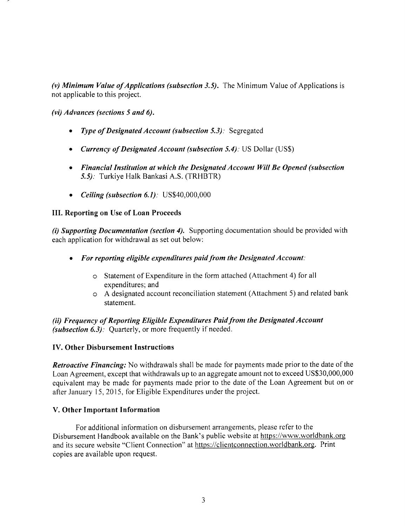*(v) Minimum Value of Applications (subsection 3.5).* The Minimum Value of Applications is not applicable to this project.

*(vi) Advances (sections 5 and 6).*

- *\* Type of Designated Account (subsection 5.3):* Segregated
- *\* Currency of Designated Account (subsection 5.4).* **US** Dollar **(US\$)**
- *\* Financial Institution at which the Designated Account Will Be Opened (subsection 5.5):* Turkiye Halk Bankasi **A.S.** (TRHBTR)
- *\* Ceiling (subsection 6.1).* **US\$40,000,000**

#### **III. Reporting on Use of Loan Proceeds**

*(i) Supporting Documentation (section 4).* Supporting documentation should be provided with each application for withdrawal as set out below:

- *\* For reporting eligible expenditures paid from the Designated Account:*
	- o Statement of Expenditure in the form attached (Attachment 4) for all expenditures; and
	- o **A** designated account reconciliation statement (Attachment **5)** and related bank statement.

*(ii) Frequency of Reporting Eligible Expenditures Paid from the Designated Account (subsection 6.3):* Quarterly, or more frequently if needed.

#### **IV. Other Disbursement Instructions**

*Retroactive Financing:* No withdrawals shall be made for payments made prior to the date of the Loan Agreement, except that withdrawals up to an aggregate amount not to exceed **US\$30,000,000** equivalent may be made for payments made prior to the date of the Loan Agreement but on or after January **15, 2015,** for Eligible Expenditures under the project.

#### **V. Other Important Information**

For additional information on disbursement arrangements, please refer to the Disbursement Handbook available on the Bank's public website at https://www.worldbank.org and its secure website "Client Connection" at https://clientconnection.worldbank.org. Print copies are available upon request.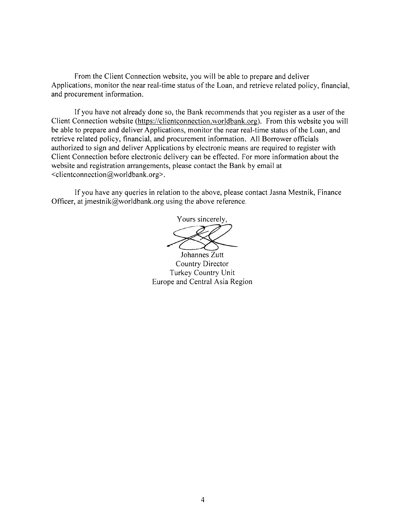From the Client Connection website, you will be able to prepare and deliver Applications, monitor the near real-time status of the Loan, and retrieve related policy, financial, and procurement information.

**If** you have not already done so, the Bank recommends that you register as a user of the Client Connection website (https://clientconnection.worldbank.org). From this website you will be able to prepare and deliver Applications, monitor the near real-time status of the Loan, and retrieve related policy, financial, and procurement information. **All** Borrower officials authorized to sign and deliver Applications **by** electronic means are required to register with Client Connection before electronic delivery can be effected. For more information about the website and registration arrangements, please contact the Bank **by** email at <clientconnection@worldbank.org>.

**If** you have any queries in relation to the above, please contact Jasna Mestnik, Finance Officer, at jmestnik@worldbank.org using the above reference.

Yours sincerely, Johannes Zutt

Country Director Turkey Country Unit Europe and Central Asia Region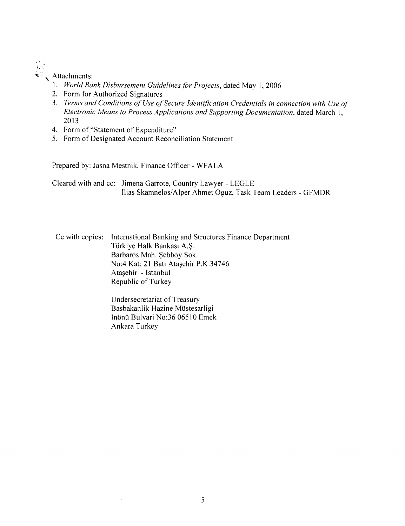$\frac{\Delta}{4\pi\lambda}$  $\star$  Attachments:

# **1.** *World Bank Disbursement Guidelines for Projects,* dated May **1, 2006**

- 2. Form for Authorized Signatures
- **3.** *Terms and Conditions of Use of Secure Identification Credentials in connection with Use of Electronic Means to Process Applications and Supporting Documentation,* dated March **1, 2013**
- 4. Form of "Statement of Expenditure"

 $\bar{\mathbf{r}}$ 

*5.* Form of Designated Account Reconciliation Statement

Prepared **by:** Jasna Mestnik, Finance Officer **-** WFALA

Cleared with and cc: Jimena Garrote, Country Lawyer **- LEGLE** Ilias Skamnelos/Alper Ahmet Oguz, Task Team Leaders **-** GFMDR

Cc with copies: International Banking and Structures Finance Department TUrkiye Halk Bankasi **A.\$.** Barbaros Mah. \$ebboy Sok. No:4 Kat: 21 Batı Ataşehir P.K.34746 Ata sehir - Istanbul Republic of Turkey

> Undersecretariat of Treasury Basbakanlik Hazine Müstesarligi In6na Bulvari No:36 **06510** Emek Ankara Turkey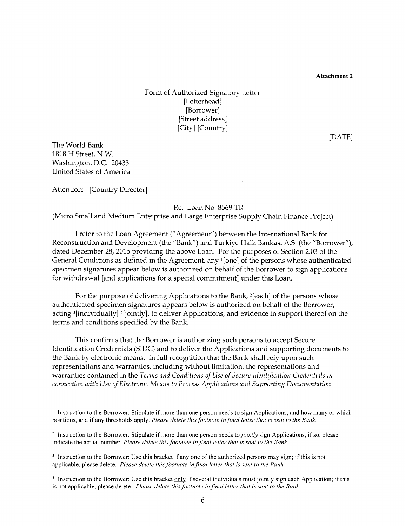**[DATE]**

#### Form of Authorized Signatory Letter [Letterhead] [Borrower] [Street address] [City] [Country]

The World Bank **1818** H Street, N.W. Washington, **D.C.** 20433 United States of America

Attention: [Country Director]

Re: Loan No. 8569-TR

(Micro Small and Medium Enterprise and Large Enterprise Supply Chain Finance Project)

**I** refer to the Loan Agreement ("Agreement") between the International Bank for Reconstruction and Development (the "Bank") and Turkiye Halk Bankasi **A.S.** (the "Borrower"), dated December **28, 2015** providing the above Loan. For the purposes of Section **2.03** of the General Conditions as defined in the Agreement, any 1[one] of the persons whose authenticated specimen signatures appear below is authorized on behalf of the Borrower to sign applications for withdrawal [and applications for a special commitment] under this Loan.

For the purpose of delivering Applications to the Bank, 2[each] of the persons whose authenticated specimen signatures appears below is authorized on behalf of the Borrower, acting 3[individually] 4[jointly], to deliver Applications, and evidence in support thereof on the terms and conditions specified **by** the Bank.

This confirms that the Borrower is authorizing such persons to accept Secure Identification Credentials **(SIDC)** and to deliver the Applications and supporting documents to the Bank **by** electronic means. In full recognition that the Bank shall rely upon such representations and warranties, including without limitation, the representations and warranties contained in the *Terms and Conditions of Use of Secure Identification Credentials in connection with Use of Electronic Means to Process Applications and Supporting Documentation*

**<sup>1</sup>** Instruction to the Borrower: Stipulate if more than one person needs to sign Applications, and how many or which positions, and if any thresholds apply. *Please delete this footnote in final letter that is sent to the Bank.*

<sup>&</sup>lt;sup>2</sup> Instruction to the Borrower: Stipulate if more than one person needs to *jointly* sign Applications, if so, please indicate the actual number. *Please delete this footnote in final letter that is sent to the Bank.*

<sup>&</sup>lt;sup>3</sup> Instruction to the Borrower: Use this bracket if any one of the authorized persons may sign; if this is not applicable, please delete. *Please delete this footnote in final letter that is sent to the Bank.*

<sup>4</sup> Instruction to the Borrower: Use this bracket **only** if several individuals must jointly sign each Application; if this is not applicable, please delete. *Please delete this footnote in final letter that is sent to the Bank.*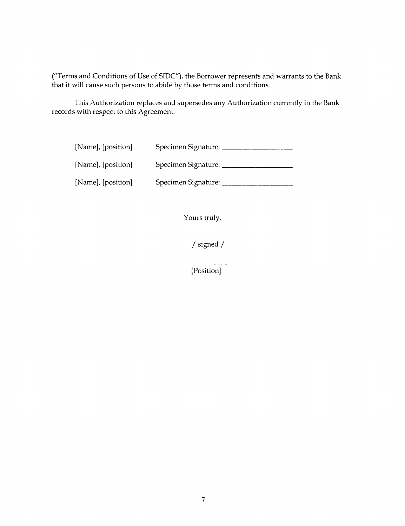("Terms and Conditions of Use of **SIDC"),** the Borrower represents and warrants to the Bank that it will cause such persons to abide **by** those terms and conditions.

This Authorization replaces and supersedes any Authorization currently in the Bank records with respect to this Agreement.

| [Name], [position] | Specimen Signature: |
|--------------------|---------------------|
| [Name], [position] | Specimen Signature: |
| [Name], [position] | Specimen Signature: |

Yours truly,

**/** signed /

[Position]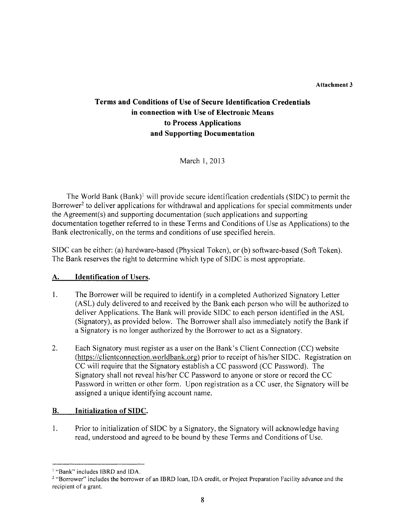# **Terms and Conditions of Use of Secure Identification Credentials in connection with Use of Electronic Means to Process Applications and Supporting Documentation**

March **1, 2013**

The World Bank (Bank)' will provide secure identification credentials **(SIDC)** to permit the Borrower<sup>2</sup> to deliver applications for withdrawal and applications for special commitments under the Agreement(s) and supporting documentation (such applications and supporting documentation together referred to in these Terms and Conditions of Use as Applications) to the Bank electronically, on the terms and conditions of use specified herein.

**SIDC** can be either: (a) hardware-based (Physical Token), or **(b)** software-based (Soft Token). The Bank reserves the right to determine which type of **SIDC** is most appropriate.

#### **A.** Identification of Users.

- 1. The Borrower will be required to identify in a completed Authorized Signatory Letter **(ASL)** duly delivered to and received **by** the Bank each person who will be authorized to deliver Applications. The Bank will provide **SIDC** to each person identified in the **ASL** (Signatory), as provided below. The Borrower shall also immediately notify the Bank if a Signatory is no longer authorized **by** the Borrower to act as a Signatory.
- 2. Each Signatory must register as a user on the Bank's Client Connection **(CC)** website (https://clientconnection.worldbank.org) prior to receipt of his/her SIDC. Registration on **CC** will require that the Signatory establish a **CC** password **(CC** Password). The Signatory shall not reveal his/her **CC** Password to anyone or store or record the **CC** Password in written or other form. Upon registration as a **CC** user, the Signatory will be assigned a unique identifying account name.

# B. Initialization **of SIDC.**

1. Prior to initialization of **SIDC by** a Signatory, the Signatory will acknowledge having read, understood and agreed to be bound **by** these Terms and Conditions of Use.

<sup>&</sup>lt;sup>1</sup> "Bank" includes IBRD and IDA.

<sup>2</sup>"Borrower" includes the borrower of an IBRD loan, **IDA** credit, or Project Preparation Facility advance and the recipient of a grant.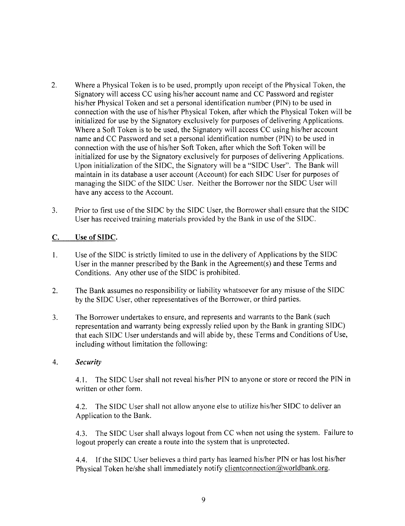- 2. Where a Physical Token is to be used, promptly upon receipt of the Physical Token, the Signatory will access **CC** using his/her account name and **CC** Password and register his/her Physical Token and set a personal identification number **(PIN)** to be used in connection with the use of his/her Physical Token, after which the Physical Token will be initialized for use **by** the Signatory exclusively for purposes of delivering Applications. Where a Soft Token is to be used, the Signatory will access **CC** using his/her account name and **CC** Password and set a personal identification number **(PIN)** to be used in connection with the use of his/her Soft Token, after which the Soft Token will be initialized for use **by** the Signatory exclusively for purposes of delivering Applications. Upon initialization of the **SIDC,** the Signatory will be a **"SIDC** User". The Bank will maintain in its database a user account (Account) for each **SIDC** User for purposes of managing the **SIDC** of the **SIDC** User. Neither the Borrower nor the **SIDC** User will have any access to the Account.
- **3.** Prior to first use of the **SIDC by** the **SIDC** User, the Borrower shall ensure that the **SIDC** User has received training materials provided **by** the Bank in use of the **SIDC.**

#### **C.** Use of **SIDC.**

- 1. Use of the **SIDC** is strictly limited to use in the delivery of Applications **by** the **SIDC** User in the manner prescribed **by** the Bank in the Agreement(s) and these Terms and Conditions. Any other use of the **SIDC** is prohibited.
- 2. The Bank assumes no responsibility or liability whatsoever for any misuse of the **SIDC by** the **SIDC** User, other representatives of the Borrower, or third parties.
- **3.** The Borrower undertakes to ensure, and represents and warrants to the Bank (such representation and warranty being expressly relied upon **by** the Bank in granting **SIDC)** that each **SIDC** User understands and will abide **by,** these Terms and Conditions of Use, including without limitation the following:

#### *4. Security*

4.1. The **SIDC** User shall not reveal his/her **PIN** to anyone or store or record the **PIN** in written or other form.

4.2. The **SIDC** User shall not allow anyone else to utilize his/her **SIDC** to deliver an Application to the Bank.

4.3. The **SIDC** User shall always logout from **CC** when not using the system. Failure to logout properly can create a route into the system that is unprotected.

4.4. **If** the **SIDC** User believes a third party has learned his/her **PIN** or has lost his/her Physical Token he/she shall immediately notify clientconnection  $@$  worldbank.org.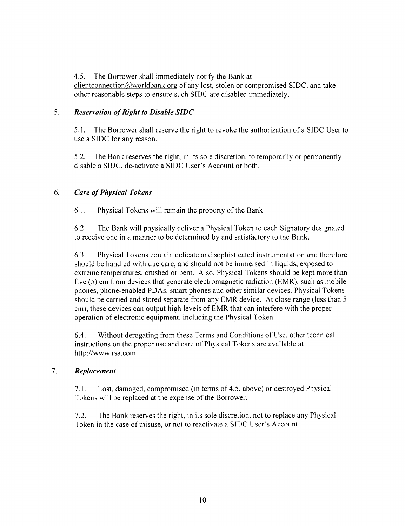4.5. The Borrower shall immediately notify the Bank at

clientconnection(@worldbank.org of any lost, stolen or compromised **SIDC,** and take other reasonable steps to ensure such **SIDC** are disabled immediately.

# **5.** *Reservation of Right to Disable SIDC*

*5.1.* The Borrower shall reserve the right to revoke the authorization of a **SIDC** User to use a **SIDC** for any reason.

**5.2.** The Bank reserves the right, in its sole discretion, to temporarily or permanently disable a **SIDC,** de-activate a **SIDC** User's Account or both.

# *6. Care of Physical Tokens*

**6.1.** Physical Tokens will remain the property of the Bank.

**6.2.** The Bank will physically deliver a Physical Token to each Signatory designated to receive one in a manner to be determined **by** and satisfactory to the Bank.

**6.3.** Physical Tokens contain delicate and sophisticated instrumentation and therefore should be handled with due care, and should not be immersed in liquids, exposed to extreme temperatures, crushed or bent. Also, Physical Tokens should be kept more than five **(5)** cm from devices that generate electromagnetic radiation (EMR), such as mobile phones, phone-enabled PDAs, smart phones and other similar devices. Physical Tokens should be carried and stored separate from any EMR device. At close range (less than **5** cm), these devices can output high levels of EMR that can interfere with the proper operation of electronic equipment, including the Physical Token.

6.4. Without derogating from these Terms and Conditions of Use, other technical instructions on the proper use and care of Physical Tokens are available at http://www.rsa.com.

# **7.** *Replacement*

**7.1.** Lost, damaged, compromised (in terms of 4.5, above) or destroyed Physical Tokens will be replaced at the expense of the Borrower.

**7.2.** The Bank reserves the right, in its sole discretion, not to replace any Physical Token in the case of misuse, or not to reactivate a **SIDC** User's Account.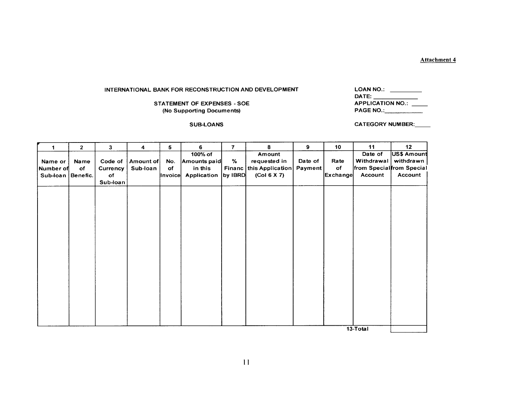$\overline{\phantom{a}}$ 

#### **INTERNATIONAL BANK FOR RECONSTRUCTION AND DEVELOPMENT**

#### **STATEMENT OF EXPENSES - SOE (No Supporting Documents)**

| LOAN NO.:               |  |
|-------------------------|--|
|                         |  |
| <b>APPLICATION NO.:</b> |  |
| <b>PAGE NO.:</b>        |  |

**SUB-LOANS** CATEGORY **NUMBER:**

| 4                 | $\mathbf{2}$ | 3        | 4         | 5              | 6            | $\overline{7}$ | 8                         | 9       | 10              | 11                        | 12          |
|-------------------|--------------|----------|-----------|----------------|--------------|----------------|---------------------------|---------|-----------------|---------------------------|-------------|
|                   |              |          |           |                | 100% of      |                | Amount                    |         |                 | Date of                   | US\$ Amount |
| Name or           | Name         | Code of  | Amount of | No.            | Amounts paid | %              | requested in              | Date of | Rate            | Withdrawal                | withdrawn   |
| Number of         | of           | Currency | Sub-loan  | of             | in this      |                | Financ   this Application | Payment | оf              | from Special from Special |             |
| Sub-loan Benefic. |              | of       |           | <b>Invoice</b> | Application  | by IBRD        | (Col 6 X 7)               |         | <b>Exchange</b> | Account                   | Account     |
|                   |              | Sub-loan |           |                |              |                |                           |         |                 |                           |             |
|                   |              |          |           |                |              |                |                           |         |                 |                           |             |
|                   |              |          |           |                |              |                |                           |         |                 |                           |             |
|                   |              |          |           |                |              |                |                           |         |                 |                           |             |
|                   |              |          |           |                |              |                |                           |         |                 |                           |             |
|                   |              |          |           |                |              |                |                           |         |                 |                           |             |
|                   |              |          |           |                |              |                |                           |         |                 |                           |             |
|                   |              |          |           |                |              |                |                           |         |                 |                           |             |
|                   |              |          |           |                |              |                |                           |         |                 |                           |             |
|                   |              |          |           |                |              |                |                           |         |                 |                           |             |
|                   |              |          |           |                |              |                |                           |         |                 |                           |             |
|                   |              |          |           |                |              |                |                           |         |                 |                           |             |
|                   |              |          |           |                |              |                |                           |         |                 |                           |             |
|                   |              |          |           |                |              |                |                           |         |                 |                           |             |
|                   |              |          |           |                |              |                |                           |         |                 |                           |             |
|                   |              |          |           |                |              |                |                           |         |                 |                           |             |
|                   |              |          |           |                |              |                |                           |         |                 |                           |             |
|                   |              |          |           |                |              |                |                           |         |                 |                           |             |
|                   |              |          |           |                |              |                |                           |         |                 |                           |             |
|                   |              |          |           |                |              |                |                           |         |                 |                           |             |
|                   |              |          |           |                |              |                |                           |         |                 |                           |             |
|                   |              |          |           |                |              |                |                           |         |                 | 13-Total                  |             |